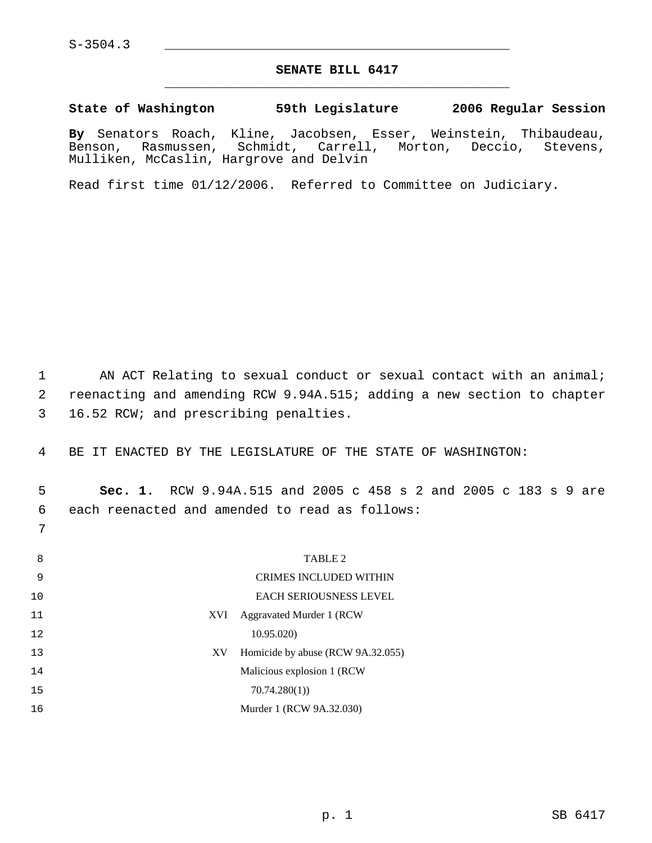$S-3504.3$ 

7

## **SENATE BILL 6417** \_\_\_\_\_\_\_\_\_\_\_\_\_\_\_\_\_\_\_\_\_\_\_\_\_\_\_\_\_\_\_\_\_\_\_\_\_\_\_\_\_\_\_\_\_

**State of Washington 59th Legislature 2006 Regular Session**

**By** Senators Roach, Kline, Jacobsen, Esser, Weinstein, Thibaudeau, Benson, Rasmussen, Schmidt, Carrell, Mulliken, McCaslin, Hargrove and Delvin

Read first time 01/12/2006. Referred to Committee on Judiciary.

1 AN ACT Relating to sexual conduct or sexual contact with an animal; 2 reenacting and amending RCW 9.94A.515; adding a new section to chapter 3 16.52 RCW; and prescribing penalties.

4 BE IT ENACTED BY THE LEGISLATURE OF THE STATE OF WASHINGTON:

 5 **Sec. 1.** RCW 9.94A.515 and 2005 c 458 s 2 and 2005 c 183 s 9 are 6 each reenacted and amended to read as follows:

8 TABLE 2 9 10 CRIMES INCLUDED WITHIN EACH SERIOUSNESS LEVEL 11 12 XVI Aggravated Murder 1 (RCW 10.95.020) 13 XV Homicide by abuse (RCW 9A.32.055) 14 15 Malicious explosion 1 (RCW 70.74.280(1)) 16 Murder 1 (RCW 9A.32.030)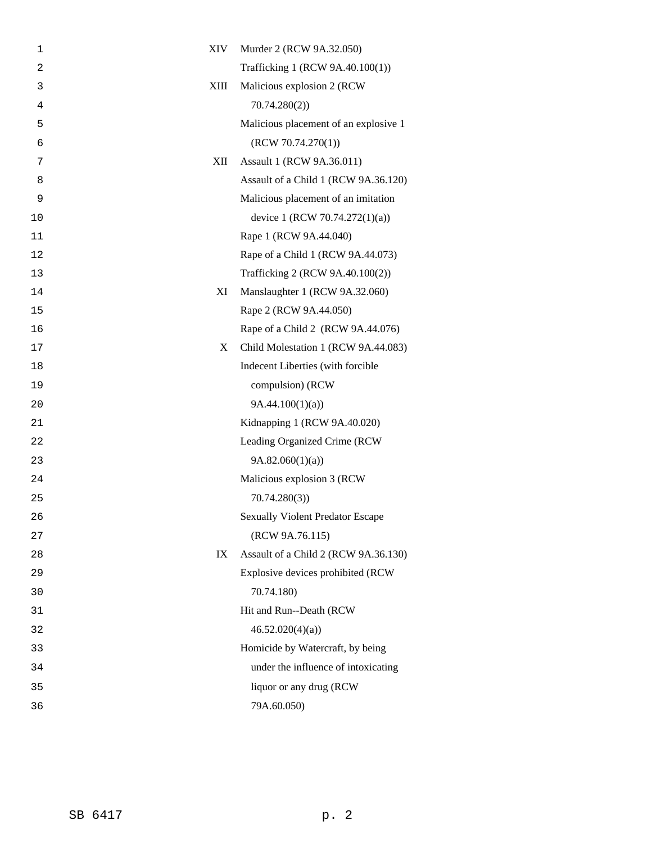| 1  | XIV<br>Murder 2 (RCW 9A.32.050)            |
|----|--------------------------------------------|
| 2  | Trafficking 1 (RCW 9A.40.100(1))           |
| 3  | XIII<br>Malicious explosion 2 (RCW         |
| 4  | 70.74.280(2)                               |
| 5  | Malicious placement of an explosive 1      |
| 6  | (RCW 70.74.270(1))                         |
| 7  | XII<br>Assault 1 (RCW 9A.36.011)           |
| 8  | Assault of a Child 1 (RCW 9A.36.120)       |
| 9  | Malicious placement of an imitation        |
| 10 | device 1 (RCW 70.74.272(1)(a))             |
| 11 | Rape 1 (RCW 9A.44.040)                     |
| 12 | Rape of a Child 1 (RCW 9A.44.073)          |
| 13 | Trafficking 2 (RCW 9A.40.100(2))           |
| 14 | XI<br>Manslaughter 1 (RCW 9A.32.060)       |
| 15 | Rape 2 (RCW 9A.44.050)                     |
| 16 | Rape of a Child 2 (RCW 9A.44.076)          |
| 17 | X<br>Child Molestation 1 (RCW 9A.44.083)   |
| 18 | Indecent Liberties (with forcible          |
| 19 | compulsion) (RCW                           |
| 20 | 9A.44.100(1)(a)                            |
| 21 | Kidnapping 1 (RCW 9A.40.020)               |
| 22 | Leading Organized Crime (RCW               |
| 23 | 9A.82.060(1)(a)                            |
| 24 | Malicious explosion 3 (RCW                 |
| 25 | 70.74.280(3)                               |
| 26 | <b>Sexually Violent Predator Escape</b>    |
| 27 | (RCW 9A.76.115)                            |
| 28 | Assault of a Child 2 (RCW 9A.36.130)<br>IX |
| 29 | Explosive devices prohibited (RCW          |
| 30 | 70.74.180)                                 |
| 31 | Hit and Run--Death (RCW                    |
| 32 | 46.52.020(4)(a)                            |
| 33 | Homicide by Watercraft, by being           |
| 34 | under the influence of intoxicating        |
| 35 | liquor or any drug (RCW                    |
| 36 | 79A.60.050)                                |
|    |                                            |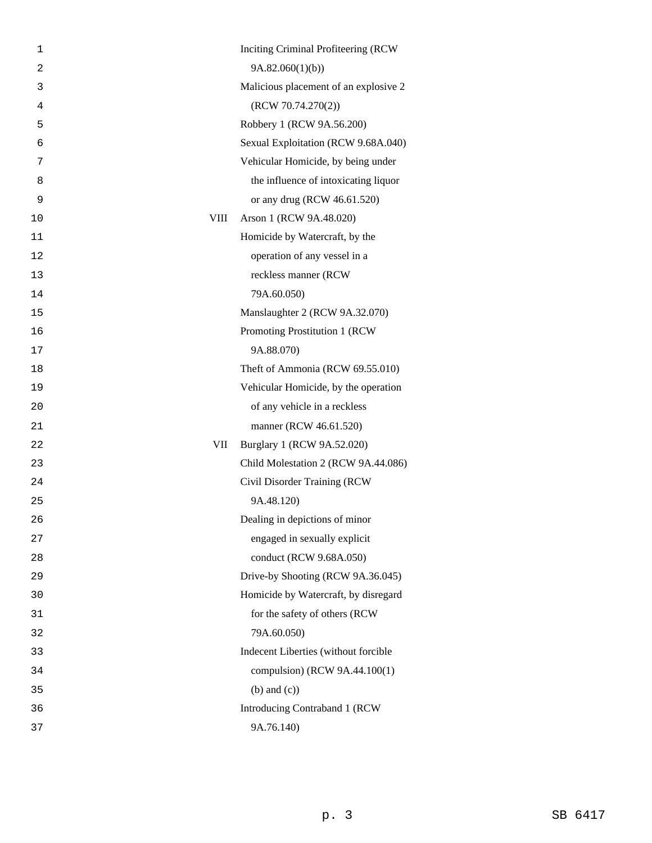| 1              | Inciting Criminal Profiteering (RCW    |
|----------------|----------------------------------------|
| $\overline{2}$ | 9A.82.060(1)(b)                        |
| 3              | Malicious placement of an explosive 2  |
| 4              | (RCW 70.74.270(2))                     |
| 5              | Robbery 1 (RCW 9A.56.200)              |
| 6              | Sexual Exploitation (RCW 9.68A.040)    |
| 7              | Vehicular Homicide, by being under     |
| 8              | the influence of intoxicating liquor   |
| 9              | or any drug (RCW 46.61.520)            |
| 10             | <b>VIII</b><br>Arson 1 (RCW 9A.48.020) |
| 11             | Homicide by Watercraft, by the         |
| 12             | operation of any vessel in a           |
| 13             | reckless manner (RCW                   |
| 14             | 79A.60.050)                            |
| 15             | Manslaughter 2 (RCW 9A.32.070)         |
| 16             | Promoting Prostitution 1 (RCW          |
| 17             | 9A.88.070)                             |
| 18             | Theft of Ammonia (RCW 69.55.010)       |
| 19             | Vehicular Homicide, by the operation   |
| 20             | of any vehicle in a reckless           |
| 21             | manner (RCW 46.61.520)                 |
| 22             | VII<br>Burglary 1 (RCW 9A.52.020)      |
| 23             | Child Molestation 2 (RCW 9A.44.086)    |
| 24             | Civil Disorder Training (RCW           |
| 25             | 9A.48.120)                             |
| 26             | Dealing in depictions of minor         |
| 27             | engaged in sexually explicit           |
| 28             | conduct (RCW 9.68A.050)                |
| 29             | Drive-by Shooting (RCW 9A.36.045)      |
| 30             | Homicide by Watercraft, by disregard   |
| 31             | for the safety of others (RCW          |
| 32             | 79A.60.050)                            |
| 33             | Indecent Liberties (without forcible   |
| 34             | compulsion) (RCW 9A.44.100(1)          |
| 35             | $(b)$ and $(c)$ )                      |
| 36             | Introducing Contraband 1 (RCW          |
| 37             | 9A.76.140)                             |
|                |                                        |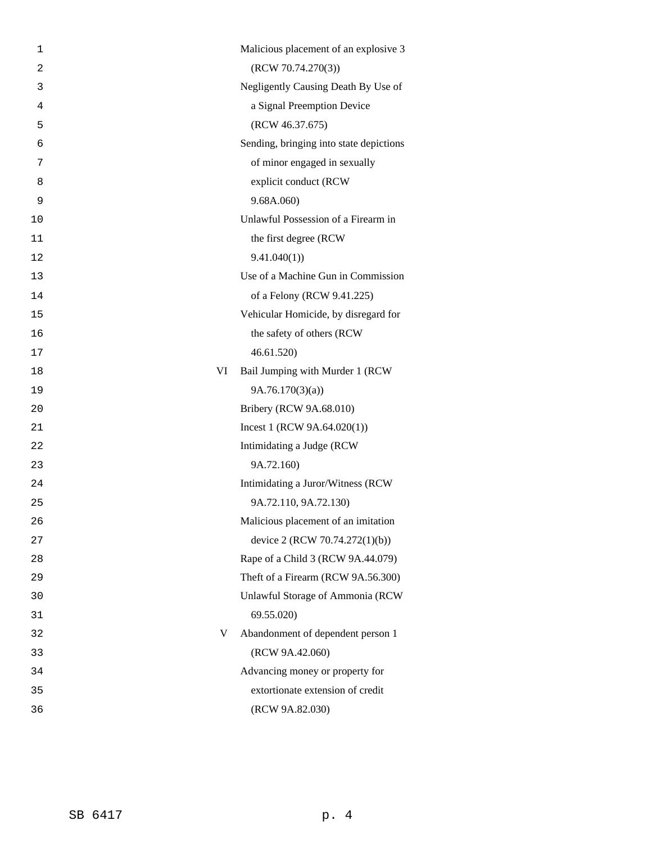| 1              | Malicious placement of an explosive 3   |
|----------------|-----------------------------------------|
| $\overline{2}$ | (RCW 70.74.270(3))                      |
| 3              | Negligently Causing Death By Use of     |
| 4              | a Signal Preemption Device              |
| 5              | (RCW 46.37.675)                         |
| 6              | Sending, bringing into state depictions |
| 7              | of minor engaged in sexually            |
| 8              | explicit conduct (RCW                   |
| 9              | 9.68A.060                               |
| 10             | Unlawful Possession of a Firearm in     |
| 11             | the first degree (RCW)                  |
| 12             | 9.41.040(1)                             |
| 13             | Use of a Machine Gun in Commission      |
| 14             | of a Felony (RCW 9.41.225)              |
| 15             | Vehicular Homicide, by disregard for    |
| 16             | the safety of others (RCW               |
| 17             | 46.61.520)                              |
| 18             | VI<br>Bail Jumping with Murder 1 (RCW   |
| 19             | 9A.76.170(3)(a)                         |
| 20             | Bribery (RCW 9A.68.010)                 |
| 21             | Incest 1 (RCW $9A.64.020(1)$ )          |
| 22             | Intimidating a Judge (RCW               |
| 23             | 9A.72.160)                              |
| 24             | Intimidating a Juror/Witness (RCW       |
| 25             | 9A.72.110, 9A.72.130)                   |
| 26             | Malicious placement of an imitation     |
| 27             | device 2 (RCW 70.74.272(1)(b))          |
| 28             | Rape of a Child 3 (RCW 9A.44.079)       |
| 29             | Theft of a Firearm (RCW 9A.56.300)      |
| 30             | Unlawful Storage of Ammonia (RCW        |
| 31             | 69.55.020)                              |
| 32             | V<br>Abandonment of dependent person 1  |
| 33             | (RCW 9A.42.060)                         |
| 34             | Advancing money or property for         |
| 35             | extortionate extension of credit        |
| 36             | (RCW 9A.82.030)                         |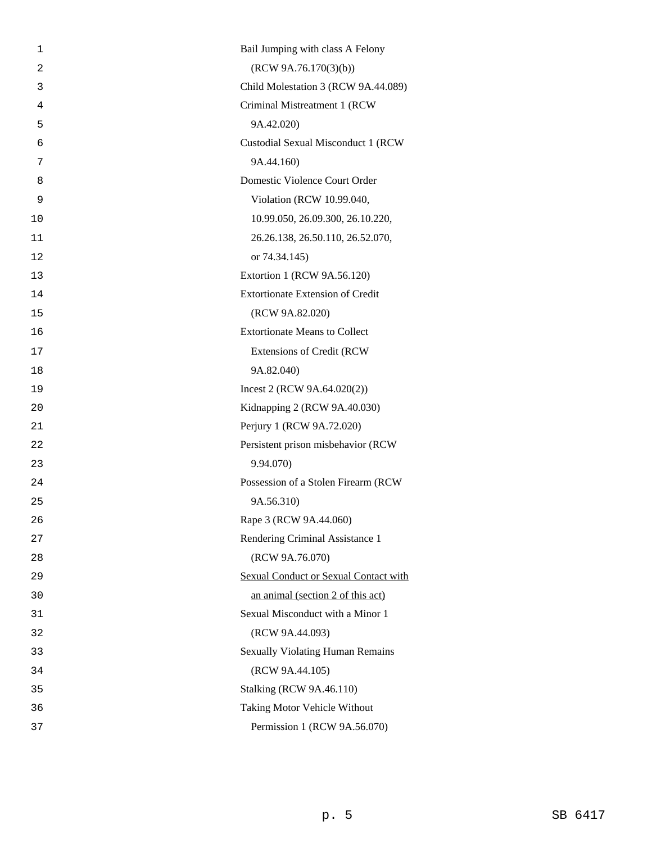| 1  | Bail Jumping with class A Felony        |
|----|-----------------------------------------|
| 2  | (RCW 9A.76.170(3)(b))                   |
| 3  | Child Molestation 3 (RCW 9A.44.089)     |
| 4  | Criminal Mistreatment 1 (RCW            |
| 5  | 9A.42.020)                              |
| 6  | Custodial Sexual Misconduct 1 (RCW      |
| 7  | 9A.44.160)                              |
| 8  | Domestic Violence Court Order           |
| 9  | Violation (RCW 10.99.040,               |
| 10 | 10.99.050, 26.09.300, 26.10.220,        |
| 11 | 26.26.138, 26.50.110, 26.52.070,        |
| 12 | or 74.34.145)                           |
| 13 | Extortion 1 (RCW 9A.56.120)             |
| 14 | <b>Extortionate Extension of Credit</b> |
| 15 | (RCW 9A.82.020)                         |
| 16 | <b>Extortionate Means to Collect</b>    |
| 17 | Extensions of Credit (RCW               |
| 18 | 9A.82.040)                              |
| 19 | Incest 2 (RCW $9A.64.020(2)$ )          |
| 20 | Kidnapping 2 (RCW 9A.40.030)            |
| 21 | Perjury 1 (RCW 9A.72.020)               |
| 22 | Persistent prison misbehavior (RCW      |
| 23 | 9.94.070)                               |
| 24 | Possession of a Stolen Firearm (RCW     |
| 25 | 9A.56.310)                              |
| 26 | Rape 3 (RCW 9A.44.060)                  |
| 27 | Rendering Criminal Assistance 1         |
| 28 | (RCW 9A.76.070)                         |
| 29 | Sexual Conduct or Sexual Contact with   |
| 30 | an animal (section 2 of this act)       |
| 31 | Sexual Misconduct with a Minor 1        |
| 32 | (RCW 9A.44.093)                         |
| 33 | <b>Sexually Violating Human Remains</b> |
| 34 | (RCW 9A.44.105)                         |
| 35 | <b>Stalking (RCW 9A.46.110)</b>         |
| 36 | Taking Motor Vehicle Without            |
| 37 | Permission 1 (RCW 9A.56.070)            |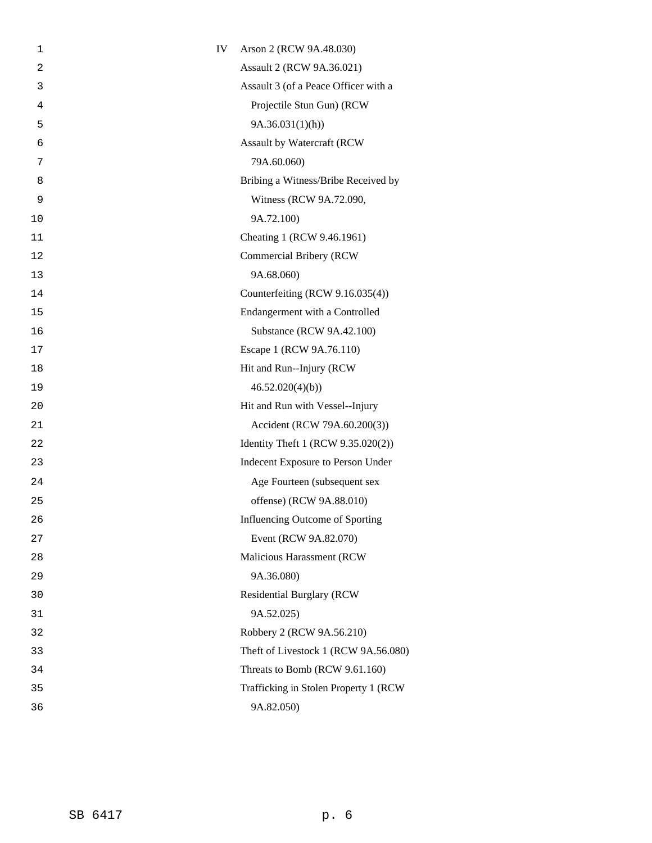| 1    | IV | Arson 2 (RCW 9A.48.030)               |
|------|----|---------------------------------------|
| 2    |    | Assault 2 (RCW 9A.36.021)             |
| 3    |    | Assault 3 (of a Peace Officer with a  |
| 4    |    | Projectile Stun Gun) (RCW             |
| 5    |    | 9A.36.031(1)(h)                       |
| 6    |    | Assault by Watercraft (RCW            |
| 7    |    | 79A.60.060)                           |
| 8    |    | Bribing a Witness/Bribe Received by   |
| 9    |    | Witness (RCW 9A.72.090,               |
| 10   |    | 9A.72.100)                            |
| 11   |    | Cheating 1 (RCW 9.46.1961)            |
| 12   |    | Commercial Bribery (RCW               |
| 13   |    | 9A.68.060)                            |
| 14   |    | Counterfeiting (RCW 9.16.035(4))      |
| 15   |    | Endangerment with a Controlled        |
| 16   |    | Substance (RCW 9A.42.100)             |
| $17$ |    | Escape 1 (RCW 9A.76.110)              |
| 18   |    | Hit and Run--Injury (RCW              |
| 19   |    | 46.52.020(4)(b)                       |
| 20   |    | Hit and Run with Vessel--Injury       |
| 21   |    | Accident (RCW 79A.60.200(3))          |
| 22   |    | Identity Theft 1 (RCW 9.35.020(2))    |
| 23   |    | Indecent Exposure to Person Under     |
| 24   |    | Age Fourteen (subsequent sex          |
| 25   |    | offense) (RCW 9A.88.010)              |
| 26   |    | Influencing Outcome of Sporting       |
| 27   |    | Event (RCW 9A.82.070)                 |
| 28   |    | Malicious Harassment (RCW             |
| 29   |    | 9A.36.080)                            |
| 30   |    | <b>Residential Burglary (RCW</b>      |
| 31   |    | 9A.52.025)                            |
| 32   |    | Robbery 2 (RCW 9A.56.210)             |
| 33   |    | Theft of Livestock 1 (RCW 9A.56.080)  |
| 34   |    | Threats to Bomb (RCW 9.61.160)        |
| 35   |    | Trafficking in Stolen Property 1 (RCW |
| 36   |    | 9A.82.050)                            |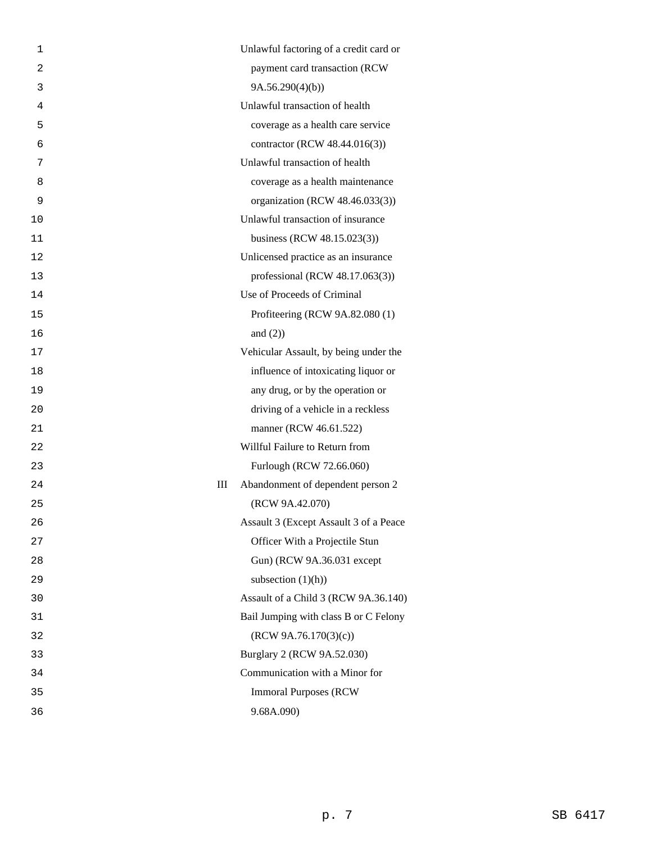| 1  | Unlawful factoring of a credit card or |  |
|----|----------------------------------------|--|
| 2  | payment card transaction (RCW          |  |
| 3  | 9A.56.290(4)(b)                        |  |
| 4  | Unlawful transaction of health         |  |
| 5  | coverage as a health care service      |  |
| 6  | contractor (RCW 48.44.016(3))          |  |
| 7  | Unlawful transaction of health         |  |
| 8  | coverage as a health maintenance       |  |
| 9  | organization (RCW 48.46.033(3))        |  |
| 10 | Unlawful transaction of insurance      |  |
| 11 | business (RCW 48.15.023(3))            |  |
| 12 | Unlicensed practice as an insurance    |  |
| 13 | professional (RCW 48.17.063(3))        |  |
| 14 | Use of Proceeds of Criminal            |  |
| 15 | Profiteering (RCW 9A.82.080 (1)        |  |
| 16 | and $(2)$ )                            |  |
| 17 | Vehicular Assault, by being under the  |  |
| 18 | influence of intoxicating liquor or    |  |
| 19 | any drug, or by the operation or       |  |
| 20 | driving of a vehicle in a reckless     |  |
| 21 | manner (RCW 46.61.522)                 |  |
| 22 | Willful Failure to Return from         |  |
| 23 | Furlough (RCW 72.66.060)               |  |
| 24 | Ш<br>Abandonment of dependent person 2 |  |
| 25 | (RCW 9A.42.070)                        |  |
| 26 | Assault 3 (Except Assault 3 of a Peace |  |
| 27 | Officer With a Projectile Stun         |  |
| 28 | Gun) (RCW 9A.36.031 except             |  |
| 29 | subsection $(1)(h)$ )                  |  |
| 30 | Assault of a Child 3 (RCW 9A.36.140)   |  |
| 31 | Bail Jumping with class B or C Felony  |  |
| 32 | (RCW 9A.76.170(3)(c))                  |  |
| 33 | Burglary 2 (RCW 9A.52.030)             |  |
| 34 | Communication with a Minor for         |  |
| 35 | <b>Immoral Purposes (RCW)</b>          |  |
| 36 | 9.68A.090)                             |  |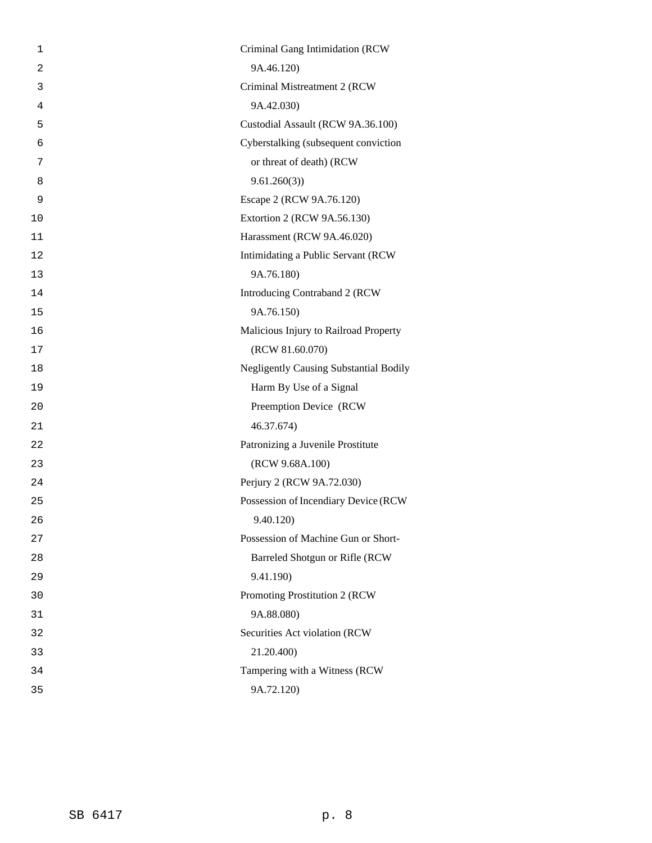| 1              | Criminal Gang Intimidation (RCW               |
|----------------|-----------------------------------------------|
| $\overline{2}$ | 9A.46.120)                                    |
| 3              | Criminal Mistreatment 2 (RCW                  |
| 4              | 9A.42.030)                                    |
| 5              | Custodial Assault (RCW 9A.36.100)             |
| 6              | Cyberstalking (subsequent conviction          |
| 7              | or threat of death) (RCW                      |
| 8              | 9.61.260(3)                                   |
| 9              | Escape 2 (RCW 9A.76.120)                      |
| 10             | Extortion 2 (RCW 9A.56.130)                   |
| 11             | Harassment (RCW 9A.46.020)                    |
| 12             | Intimidating a Public Servant (RCW            |
| 13             | 9A.76.180)                                    |
| 14             | Introducing Contraband 2 (RCW                 |
| 15             | 9A.76.150)                                    |
| 16             | Malicious Injury to Railroad Property         |
| 17             | (RCW 81.60.070)                               |
| 18             | <b>Negligently Causing Substantial Bodily</b> |
| 19             | Harm By Use of a Signal                       |
| 20             | Preemption Device (RCW                        |
| 21             | 46.37.674)                                    |
| 22             | Patronizing a Juvenile Prostitute             |
| 23             | (RCW 9.68A.100)                               |
| 24             | Perjury 2 (RCW 9A.72.030)                     |
| 25             | Possession of Incendiary Device (RCW          |
| 26             | 9.40.120)                                     |
| 27             | Possession of Machine Gun or Short-           |
| 28             | Barreled Shotgun or Rifle (RCW                |
| 29             | 9.41.190)                                     |
| 30             | Promoting Prostitution 2 (RCW                 |
| 31             | 9A.88.080)                                    |
| 32             | Securities Act violation (RCW                 |
| 33             | 21.20.400)                                    |
| 34             | Tampering with a Witness (RCW                 |
| 35             | 9A.72.120)                                    |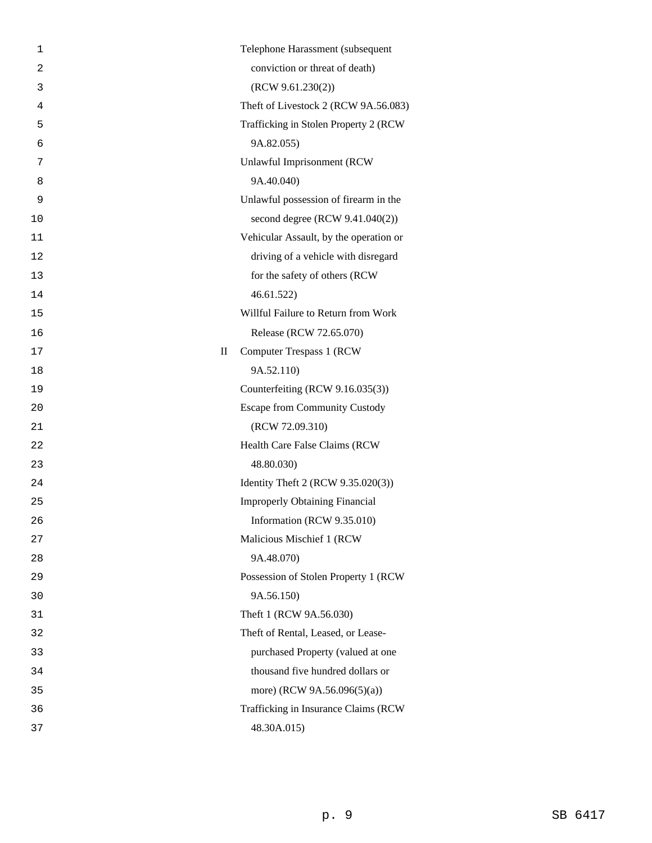| 1              |                                 | Telephone Harassment (subsequent       |
|----------------|---------------------------------|----------------------------------------|
| $\overline{2}$ |                                 | conviction or threat of death)         |
| 3              |                                 | (RCW 9.61.230(2))                      |
| 4              |                                 | Theft of Livestock 2 (RCW 9A.56.083)   |
| 5              |                                 | Trafficking in Stolen Property 2 (RCW  |
| 6              |                                 | 9A.82.055)                             |
| 7              |                                 | <b>Unlawful Imprisonment (RCW</b>      |
| 8              |                                 | 9A.40.040)                             |
| 9              |                                 | Unlawful possession of firearm in the  |
| 10             |                                 | second degree (RCW 9.41.040(2))        |
| 11             |                                 | Vehicular Assault, by the operation or |
| 12             |                                 | driving of a vehicle with disregard    |
| 13             |                                 | for the safety of others (RCW          |
| 14             |                                 | 46.61.522                              |
| 15             |                                 | Willful Failure to Return from Work    |
| 16             |                                 | Release (RCW 72.65.070)                |
| 17             | $\mathop{\mathrm{II}}\nolimits$ | <b>Computer Trespass 1 (RCW)</b>       |
| 18             |                                 | 9A.52.110)                             |
| 19             |                                 | Counterfeiting (RCW 9.16.035(3))       |
| 20             |                                 | <b>Escape from Community Custody</b>   |
| 21             |                                 | (RCW 72.09.310)                        |
| 22             |                                 | Health Care False Claims (RCW          |
| 23             |                                 | 48.80.030)                             |
| 24             |                                 | Identity Theft 2 (RCW 9.35.020(3))     |
| 25             |                                 | <b>Improperly Obtaining Financial</b>  |
| 26             |                                 | Information (RCW 9.35.010)             |
| 27             |                                 | Malicious Mischief 1 (RCW              |
| 28             |                                 | 9A.48.070)                             |
| 29             |                                 | Possession of Stolen Property 1 (RCW   |
| 30             |                                 | 9A.56.150)                             |
| 31             |                                 | Theft 1 (RCW 9A.56.030)                |
| 32             |                                 | Theft of Rental, Leased, or Lease-     |
| 33             |                                 | purchased Property (valued at one      |
| 34             |                                 | thousand five hundred dollars or       |
| 35             |                                 | more) (RCW 9A.56.096(5)(a))            |
| 36             |                                 | Trafficking in Insurance Claims (RCW   |
| 37             |                                 | 48.30A.015)                            |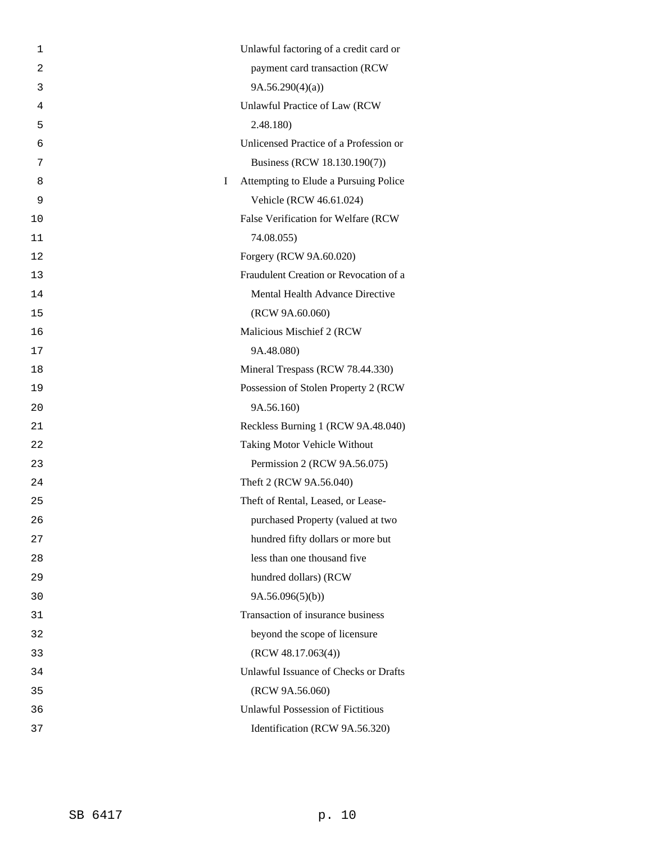| 1              | Unlawful factoring of a credit card or     |
|----------------|--------------------------------------------|
| $\overline{2}$ | payment card transaction (RCW              |
| 3              | 9A.56.290(4)(a)                            |
| 4              | Unlawful Practice of Law (RCW              |
| 5              | 2.48.180)                                  |
| 6              | Unlicensed Practice of a Profession or     |
| 7              | Business (RCW 18.130.190(7))               |
| 8              | I<br>Attempting to Elude a Pursuing Police |
| 9              | Vehicle (RCW 46.61.024)                    |
| 10             | False Verification for Welfare (RCW        |
| 11             | 74.08.055)                                 |
| 12             | Forgery (RCW 9A.60.020)                    |
| 13             | Fraudulent Creation or Revocation of a     |
| 14             | Mental Health Advance Directive            |
| 15             | (RCW 9A.60.060)                            |
| 16             | Malicious Mischief 2 (RCW                  |
| 17             | 9A.48.080)                                 |
| 18             | Mineral Trespass (RCW 78.44.330)           |
| 19             | Possession of Stolen Property 2 (RCW       |
| 20             | 9A.56.160)                                 |
| 21             | Reckless Burning 1 (RCW 9A.48.040)         |
| 22             | Taking Motor Vehicle Without               |
| 23             | Permission 2 (RCW 9A.56.075)               |
| 24             | Theft 2 (RCW 9A.56.040)                    |
| 25             | Theft of Rental, Leased, or Lease-         |
| 26             | purchased Property (valued at two          |
| 27             | hundred fifty dollars or more but          |
| 28             | less than one thousand five                |
| 29             | hundred dollars) (RCW                      |
| 30             | 9A.56.096(5)(b)                            |
| 31             | Transaction of insurance business          |
| 32             | beyond the scope of licensure              |
| 33             | (RCW 48.17.063(4))                         |
| 34             | Unlawful Issuance of Checks or Drafts      |
| 35             | (RCW 9A.56.060)                            |
| 36             | <b>Unlawful Possession of Fictitious</b>   |
| 37             | Identification (RCW 9A.56.320)             |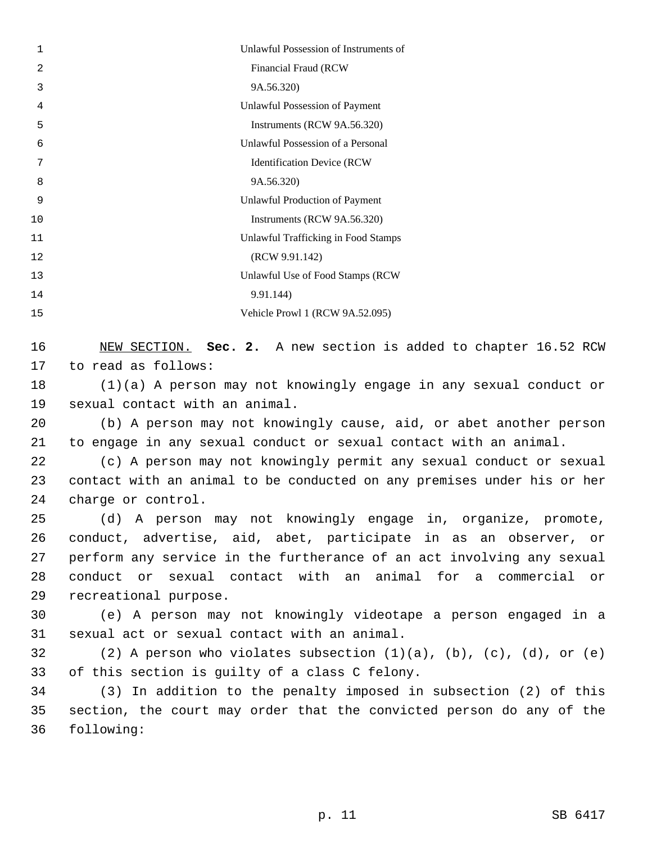| $\mathbf 1$ | Unlawful Possession of Instruments of |
|-------------|---------------------------------------|
| 2           | Financial Fraud (RCW                  |
| 3           | 9A.56.320)                            |
| 4           | Unlawful Possession of Payment        |
| 5           | Instruments (RCW 9A.56.320)           |
| 6           | Unlawful Possession of a Personal     |
| 7           | <b>Identification Device (RCW)</b>    |
| 8           | 9A.56.320)                            |
| 9           | <b>Unlawful Production of Payment</b> |
| 10          | Instruments (RCW 9A.56.320)           |
| 11          | Unlawful Trafficking in Food Stamps   |
| 12          | (RCW 9.91.142)                        |
| 13          | Unlawful Use of Food Stamps (RCW      |
| 14          | 9.91.144                              |
| 15          | Vehicle Prowl 1 (RCW 9A.52.095)       |
|             |                                       |

 NEW SECTION. **Sec. 2.** A new section is added to chapter 16.52 RCW to read as follows:

 (1)(a) A person may not knowingly engage in any sexual conduct or sexual contact with an animal.

 (b) A person may not knowingly cause, aid, or abet another person to engage in any sexual conduct or sexual contact with an animal.

 (c) A person may not knowingly permit any sexual conduct or sexual contact with an animal to be conducted on any premises under his or her charge or control.

 (d) A person may not knowingly engage in, organize, promote, conduct, advertise, aid, abet, participate in as an observer, or perform any service in the furtherance of an act involving any sexual conduct or sexual contact with an animal for a commercial or recreational purpose.

 (e) A person may not knowingly videotape a person engaged in a sexual act or sexual contact with an animal.

 (2) A person who violates subsection (1)(a), (b), (c), (d), or (e) of this section is guilty of a class C felony.

 (3) In addition to the penalty imposed in subsection (2) of this section, the court may order that the convicted person do any of the following: